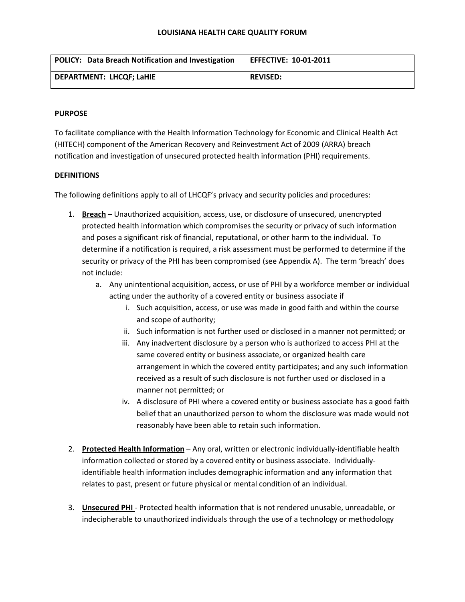| POLICY: Data Breach Notification and Investigation | <b>EFFECTIVE: 10-01-2011</b> |
|----------------------------------------------------|------------------------------|
| DEPARTMENT: LHCQF; LaHIE                           | <b>REVISED:</b>              |

### **PURPOSE**

To facilitate compliance with the Health Information Technology for Economic and Clinical Health Act (HITECH) component of the American Recovery and Reinvestment Act of 2009 (ARRA) breach notification and investigation of unsecured protected health information (PHI) requirements.

### **DEFINITIONS**

The following definitions apply to all of LHCQF's privacy and security policies and procedures:

- 1. **Breach** Unauthorized acquisition, access, use, or disclosure of unsecured, unencrypted protected health information which compromises the security or privacy of such information and poses a significant risk of financial, reputational, or other harm to the individual. To determine if a notification is required, a risk assessment must be performed to determine if the security or privacy of the PHI has been compromised (see Appendix A). The term 'breach' does not include:
	- a. Any unintentional acquisition, access, or use of PHI by a workforce member or individual acting under the authority of a covered entity or business associate if
		- i. Such acquisition, access, or use was made in good faith and within the course and scope of authority;
		- ii. Such information is not further used or disclosed in a manner not permitted; or
		- iii. Any inadvertent disclosure by a person who is authorized to access PHI at the same covered entity or business associate, or organized health care arrangement in which the covered entity participates; and any such information received as a result of such disclosure is not further used or disclosed in a manner not permitted; or
		- iv. A disclosure of PHI where a covered entity or business associate has a good faith belief that an unauthorized person to whom the disclosure was made would not reasonably have been able to retain such information.
- 2. **Protected Health Information** Any oral, written or electronic individually-identifiable health information collected or stored by a covered entity or business associate. Individuallyidentifiable health information includes demographic information and any information that relates to past, present or future physical or mental condition of an individual.
- 3. **Unsecured PHI**  Protected health information that is not rendered unusable, unreadable, or indecipherable to unauthorized individuals through the use of a technology or methodology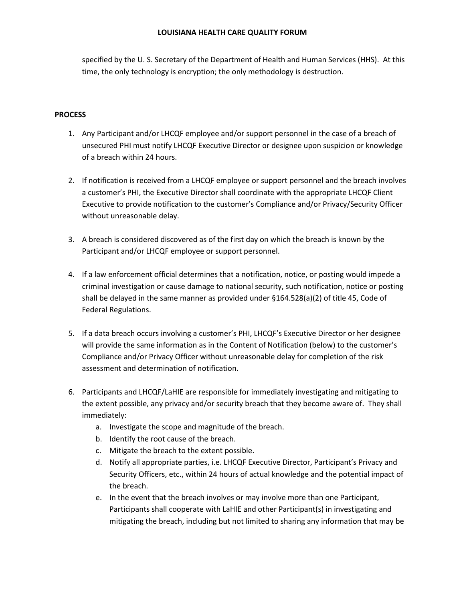specified by the U. S. Secretary of the Department of Health and Human Services (HHS). At this time, the only technology is encryption; the only methodology is destruction.

#### **PROCESS**

- 1. Any Participant and/or LHCQF employee and/or support personnel in the case of a breach of unsecured PHI must notify LHCQF Executive Director or designee upon suspicion or knowledge of a breach within 24 hours.
- 2. If notification is received from a LHCQF employee or support personnel and the breach involves a customer's PHI, the Executive Director shall coordinate with the appropriate LHCQF Client Executive to provide notification to the customer's Compliance and/or Privacy/Security Officer without unreasonable delay.
- 3. A breach is considered discovered as of the first day on which the breach is known by the Participant and/or LHCQF employee or support personnel.
- 4. If a law enforcement official determines that a notification, notice, or posting would impede a criminal investigation or cause damage to national security, such notification, notice or posting shall be delayed in the same manner as provided under §164.528(a)(2) of title 45, Code of Federal Regulations.
- 5. If a data breach occurs involving a customer's PHI, LHCQF's Executive Director or her designee will provide the same information as in the Content of Notification (below) to the customer's Compliance and/or Privacy Officer without unreasonable delay for completion of the risk assessment and determination of notification.
- 6. Participants and LHCQF/LaHIE are responsible for immediately investigating and mitigating to the extent possible, any privacy and/or security breach that they become aware of. They shall immediately:
	- a. Investigate the scope and magnitude of the breach.
	- b. Identify the root cause of the breach.
	- c. Mitigate the breach to the extent possible.
	- d. Notify all appropriate parties, i.e. LHCQF Executive Director, Participant's Privacy and Security Officers, etc., within 24 hours of actual knowledge and the potential impact of the breach.
	- e. In the event that the breach involves or may involve more than one Participant, Participants shall cooperate with LaHIE and other Participant(s) in investigating and mitigating the breach, including but not limited to sharing any information that may be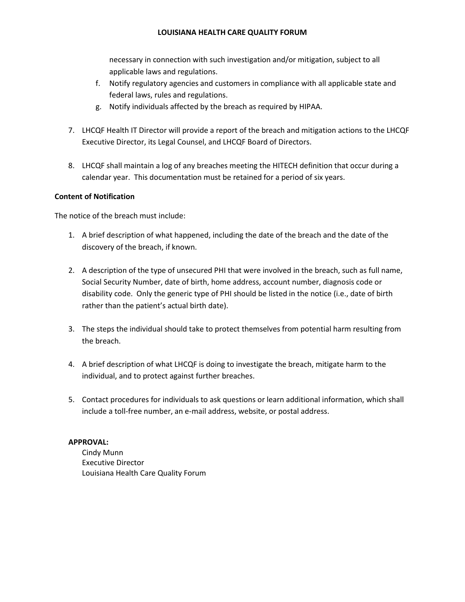necessary in connection with such investigation and/or mitigation, subject to all applicable laws and regulations.

- f. Notify regulatory agencies and customers in compliance with all applicable state and federal laws, rules and regulations.
- g. Notify individuals affected by the breach as required by HIPAA.
- 7. LHCQF Health IT Director will provide a report of the breach and mitigation actions to the LHCQF Executive Director, its Legal Counsel, and LHCQF Board of Directors.
- 8. LHCQF shall maintain a log of any breaches meeting the HITECH definition that occur during a calendar year. This documentation must be retained for a period of six years.

## **Content of Notification**

The notice of the breach must include:

- 1. A brief description of what happened, including the date of the breach and the date of the discovery of the breach, if known.
- 2. A description of the type of unsecured PHI that were involved in the breach, such as full name, Social Security Number, date of birth, home address, account number, diagnosis code or disability code. Only the generic type of PHI should be listed in the notice (i.e., date of birth rather than the patient's actual birth date).
- 3. The steps the individual should take to protect themselves from potential harm resulting from the breach.
- 4. A brief description of what LHCQF is doing to investigate the breach, mitigate harm to the individual, and to protect against further breaches.
- 5. Contact procedures for individuals to ask questions or learn additional information, which shall include a toll-free number, an e-mail address, website, or postal address.

## **APPROVAL:**

Cindy Munn Executive Director Louisiana Health Care Quality Forum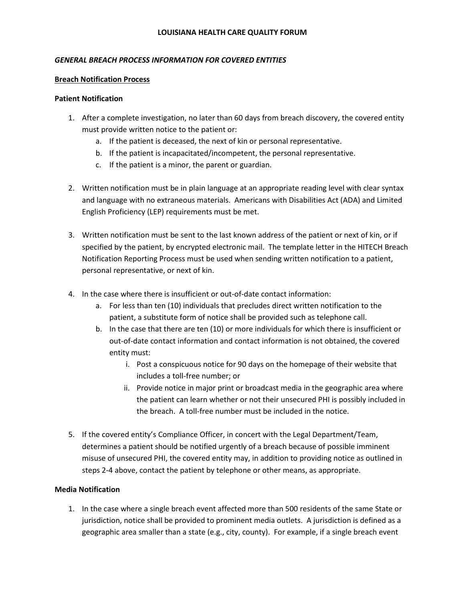#### *GENERAL BREACH PROCESS INFORMATION FOR COVERED ENTITIES*

#### **Breach Notification Process**

#### **Patient Notification**

- 1. After a complete investigation, no later than 60 days from breach discovery, the covered entity must provide written notice to the patient or:
	- a. If the patient is deceased, the next of kin or personal representative.
	- b. If the patient is incapacitated/incompetent, the personal representative.
	- c. If the patient is a minor, the parent or guardian.
- 2. Written notification must be in plain language at an appropriate reading level with clear syntax and language with no extraneous materials. Americans with Disabilities Act (ADA) and Limited English Proficiency (LEP) requirements must be met.
- 3. Written notification must be sent to the last known address of the patient or next of kin, or if specified by the patient, by encrypted electronic mail. The template letter in the HITECH Breach Notification Reporting Process must be used when sending written notification to a patient, personal representative, or next of kin.
- 4. In the case where there is insufficient or out-of-date contact information:
	- a. For less than ten (10) individuals that precludes direct written notification to the patient, a substitute form of notice shall be provided such as telephone call.
	- b. In the case that there are ten (10) or more individuals for which there is insufficient or out-of-date contact information and contact information is not obtained, the covered entity must:
		- i. Post a conspicuous notice for 90 days on the homepage of their website that includes a toll-free number; or
		- ii. Provide notice in major print or broadcast media in the geographic area where the patient can learn whether or not their unsecured PHI is possibly included in the breach. A toll-free number must be included in the notice.
- 5. If the covered entity's Compliance Officer, in concert with the Legal Department/Team, determines a patient should be notified urgently of a breach because of possible imminent misuse of unsecured PHI, the covered entity may, in addition to providing notice as outlined in steps 2-4 above, contact the patient by telephone or other means, as appropriate.

## **Media Notification**

1. In the case where a single breach event affected more than 500 residents of the same State or jurisdiction, notice shall be provided to prominent media outlets. A jurisdiction is defined as a geographic area smaller than a state (e.g., city, county). For example, if a single breach event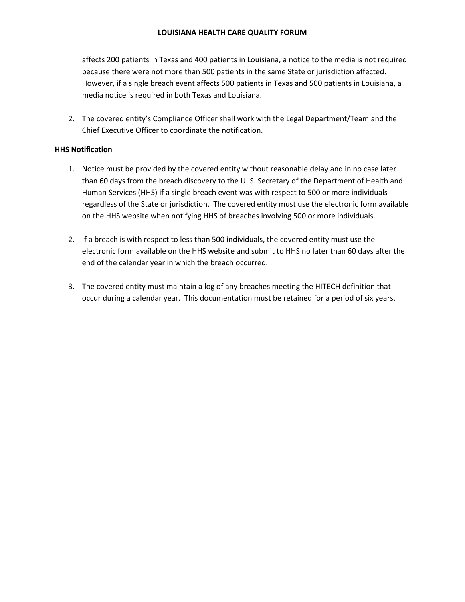affects 200 patients in Texas and 400 patients in Louisiana, a notice to the media is not required because there were not more than 500 patients in the same State or jurisdiction affected. However, if a single breach event affects 500 patients in Texas and 500 patients in Louisiana, a media notice is required in both Texas and Louisiana.

2. The covered entity's Compliance Officer shall work with the Legal Department/Team and the Chief Executive Officer to coordinate the notification.

#### **HHS Notification**

- 1. Notice must be provided by the covered entity without reasonable delay and in no case later than 60 days from the breach discovery to the U. S. Secretary of the Department of Health and Human Services (HHS) if a single breach event was with respect to 500 or more individuals regardless of the State or jurisdiction. The covered entity must use the electronic form available on the HHS website when notifying HHS of breaches involving 500 or more individuals.
- 2. If a breach is with respect to less than 500 individuals, the covered entity must use the electronic form available on the HHS website and submit to HHS no later than 60 days after the end of the calendar year in which the breach occurred.
- 3. The covered entity must maintain a log of any breaches meeting the HITECH definition that occur during a calendar year. This documentation must be retained for a period of six years.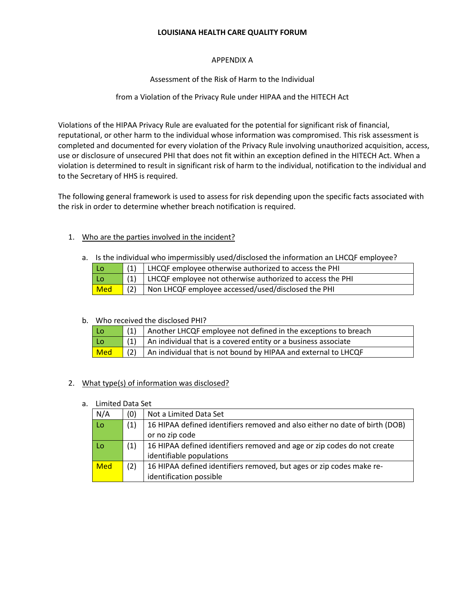#### APPENDIX A

#### Assessment of the Risk of Harm to the Individual

#### from a Violation of the Privacy Rule under HIPAA and the HITECH Act

Violations of the HIPAA Privacy Rule are evaluated for the potential for significant risk of financial, reputational, or other harm to the individual whose information was compromised. This risk assessment is completed and documented for every violation of the Privacy Rule involving unauthorized acquisition, access, use or disclosure of unsecured PHI that does not fit within an exception defined in the HITECH Act. When a violation is determined to result in significant risk of harm to the individual, notification to the individual and to the Secretary of HHS is required.

The following general framework is used to assess for risk depending upon the specific facts associated with the risk in order to determine whether breach notification is required.

#### 1. Who are the parties involved in the incident?

a. Is the individual who impermissibly used/disclosed the information an LHCQF employee?

| Lo  | (1) | LHCQF employee otherwise authorized to access the PHI     |
|-----|-----|-----------------------------------------------------------|
| L0  |     | LHCQF employee not otherwise authorized to access the PHI |
| Med | (2) | Non LHCQF employee accessed/used/disclosed the PHI        |

#### b. Who received the disclosed PHI?

| Lo         | (1) | Another LHCQF employee not defined in the exceptions to breach |  |  |  |
|------------|-----|----------------------------------------------------------------|--|--|--|
| Lo         | (1) | An individual that is a covered entity or a business associate |  |  |  |
| <b>Med</b> | (2) | An individual that is not bound by HIPAA and external to LHCQF |  |  |  |

#### 2. What type(s) of information was disclosed?

#### a. Limited Data Set

| N/A        | (0) | Not a Limited Data Set                                                      |  |  |
|------------|-----|-----------------------------------------------------------------------------|--|--|
| Lo         | (1) | 16 HIPAA defined identifiers removed and also either no date of birth (DOB) |  |  |
|            |     | or no zip code                                                              |  |  |
| Lo         | (1) | 16 HIPAA defined identifiers removed and age or zip codes do not create     |  |  |
|            |     | identifiable populations                                                    |  |  |
| <b>Med</b> | (2) | 16 HIPAA defined identifiers removed, but ages or zip codes make re-        |  |  |
|            |     | identification possible                                                     |  |  |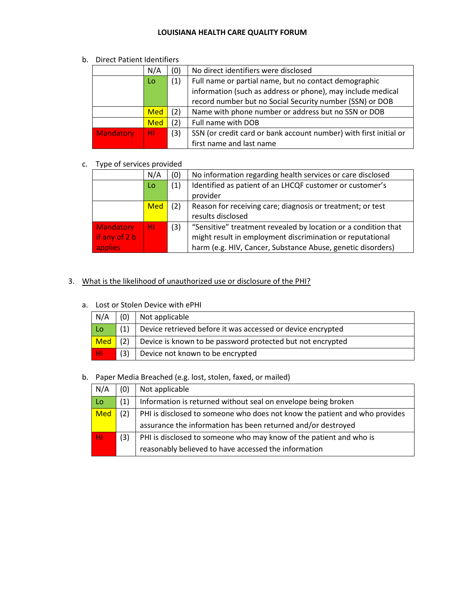#### b. Direct Patient Identifiers

|                  | N/A        | (0) | No direct identifiers were disclosed                              |
|------------------|------------|-----|-------------------------------------------------------------------|
|                  | Lo         | (1) | Full name or partial name, but no contact demographic             |
|                  |            |     | information (such as address or phone), may include medical       |
|                  |            |     | record number but no Social Security number (SSN) or DOB          |
|                  | <b>Med</b> | (2) | Name with phone number or address but no SSN or DOB               |
|                  | <b>Med</b> | (2) | Full name with DOB                                                |
| <b>Mandatory</b> | HI         | (3) | SSN (or credit card or bank account number) with first initial or |
|                  |            |     | first name and last name                                          |

# c. Type of services provided

|                  | N/A        | (0) | No information regarding health services or care disclosed     |
|------------------|------------|-----|----------------------------------------------------------------|
|                  | Lo         | (1) | Identified as patient of an LHCQF customer or customer's       |
|                  |            |     | provider                                                       |
|                  | <b>Med</b> | (2) | Reason for receiving care; diagnosis or treatment; or test     |
|                  |            |     | results disclosed                                              |
| <b>Mandatory</b> | HI.        | (3) | "Sensitive" treatment revealed by location or a condition that |
| if any of 2 b    |            |     | might result in employment discrimination or reputational      |
| applies          |            |     | harm (e.g. HIV, Cancer, Substance Abuse, genetic disorders)    |

## 3. What is the likelihood of unauthorized use or disclosure of the PHI?

#### a. Lost or Stolen Device with ePHI

| N/A        |     | $(0)$ Not applicable                                        |
|------------|-----|-------------------------------------------------------------|
| -Lo        | (1) | Device retrieved before it was accessed or device encrypted |
| <b>Med</b> | (2) | Device is known to be password protected but not encrypted  |
| Hi         | (3) | Device not known to be encrypted                            |

## b. Paper Media Breached (e.g. lost, stolen, faxed, or mailed)

| N/A        | (0) | Not applicable                                                             |  |  |  |
|------------|-----|----------------------------------------------------------------------------|--|--|--|
| Lo         | (1) | Information is returned without seal on envelope being broken              |  |  |  |
| <b>Med</b> | (2) | PHI is disclosed to someone who does not know the patient and who provides |  |  |  |
|            |     | assurance the information has been returned and/or destroyed               |  |  |  |
| HI         | (3) | PHI is disclosed to someone who may know of the patient and who is         |  |  |  |
|            |     | reasonably believed to have accessed the information                       |  |  |  |